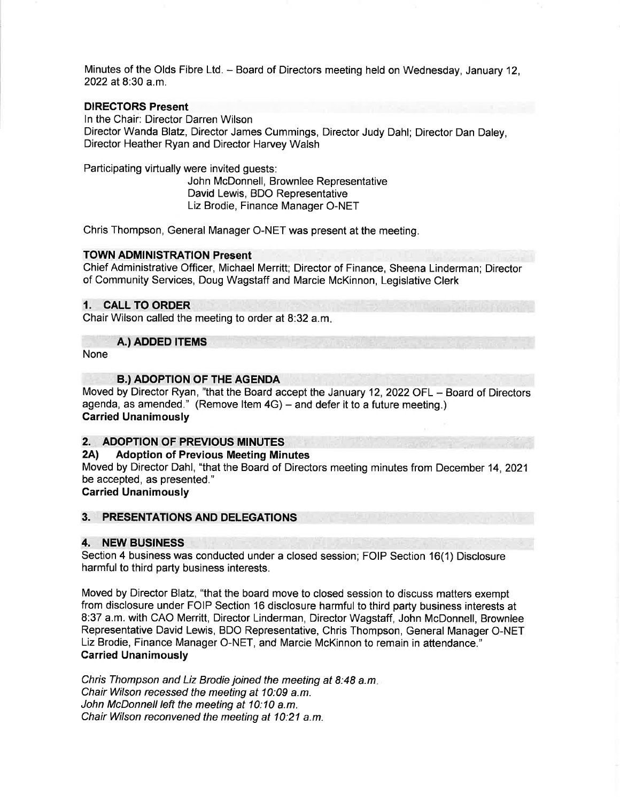Minutes of the Olds Fibre Ltd. - Board of Directors meeting held on Wednesday, January 12, 2022 at 8:30 a.m.

## DIRECTORS Present

ln the Chair: Director Darren Wilson Director Wanda Blatz, Director James Cummings, Director Judy Dahl; Director Dan Daley, Director Heather Ryan and Director Harvey Walsh

Participating virtually were invited guests: John McDonnell, Brownlee Representative David Lewis, BDO Representative Liz Brodie, Finance Manager O-NET

Chris Thompson, General Manager O-NET was present at the meeting.

### TOWN ADMINISTRATION Present

Chief Administrative Officer, Michael Merritt; Director of Finance, Sheena Linderman; Director of Community Services, Doug Wagstaff and Marcie McKinnon, Legislative Clerk

## 1. CALL TO ORDER

Chair Wilson called the meeting to order at 8:32 a.m

#### A.) ADDED ITEMS

None

#### **B.) ADOPTION OF THE AGENDA**

Moved by Director Ryan, "that the Board accept the January 12, 2022 OFL - Board of Directors agenda, as amended." (Remove Item  $4G$ ) – and defer it to a future meeting.) Carried Unanimously

#### 2. ADOPTION OF PREVIOUS MINUTES

#### 2Al Adoption of Previous Meeting Minutes

Moved by Director Dahl, "that the Board of Directors meeting minutes from December 14,2021 be accepted, as presented."

## Carried Unanimously

## 3. PRESENTATIONS AND DELEGATIONS

#### 4. NEW BUSINESS

Section 4 business was conducted under a closed session; FOIP Section 16(1) Disclosure harmful to third party business interests.

Moved by Director Blatz, "that the board move to closed session to discuss matters exempt from disclosure under FOIP Section 16 disclosure harmful to third party business interests at 8:37 a.m. with CAO Merritt, Director Linderman, Director Wagstaff, John McDonnell, Brownlee Representative David Lewis, BDO Representative, Chris Thompson, General Manager O-NET Liz Brodie, Finance Manager O-NET, and Marcie McKinnon to remain in attendance." Carried Unanimously

Chris Thompson and Liz Brodie joined the meeting at 8:48 a.m Chair Wilson recessed the meeting at 10:09 a.m. John McDonnell left the meeting at 10:10 a.m. Chair Wilson reconvened the meeting at 10:21 a.m.